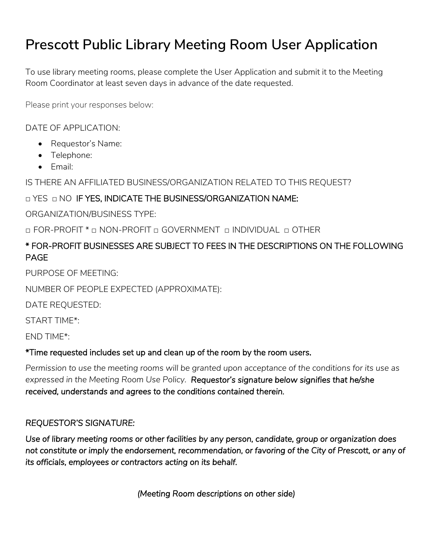# **Prescott Public Library Meeting Room User Application**

To use library meeting rooms, please complete the User Application and submit it to the Meeting Room Coordinator at least seven days in advance of the date requested.

Please print your responses below:

DATE OF APPLICATION:

- Requestor's Name:
- Telephone:
- Fmail:

IS THERE AN AFFILIATED BUSINESS/ORGANIZATION RELATED TO THIS REQUEST?

## □ YES □ NO IF YES, INDICATE THE BUSINESS/ORGANIZATION NAME:

ORGANIZATION/BUSINESS TYPE:

□ FOR-PROFIT \* □ NON-PROFIT □ GOVERNMENT □ INDIVIDUAL □ OTHER

## \* FOR-PROFIT BUSINESSES ARE SUBJECT TO FEES IN THE DESCRIPTIONS ON THE FOLLOWING PAGE

PURPOSE OF MEETING:

NUMBER OF PEOPLE EXPECTED (APPROXIMATE):

DATE REQUESTED:

START TIME\*:

END TIME\*:

## \*Time requested includes set up and clean up of the room by the room users.

*Permission to use the meeting rooms will be granted upon acceptance of the conditions for its use as expressed in the Meeting Room Use Policy. Requestor's signature below signifies that he/she received, understands and agrees to the conditions contained therein.* 

## *REQUESTOR'S SIGNATURE:*

*Use of library meeting rooms or other facilities by any person, candidate, group or organization does not constitute or imply the endorsement, recommendation, or favoring of the City of Prescott, or any of its officials, employees or contractors acting on its behalf.* 

*(Meeting Room descriptions on other side)*